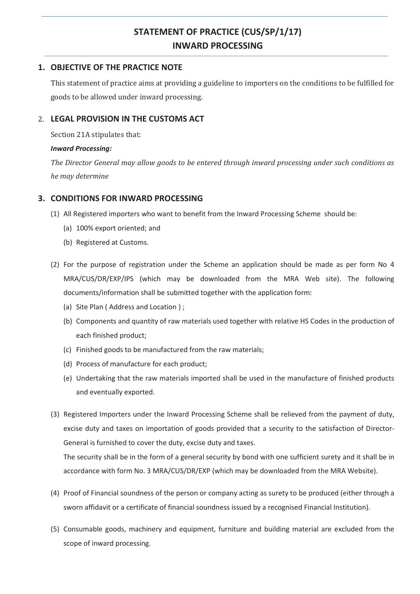# **STATEMENT OF PRACTICE (CUS/SP/1/17) INWARD PROCESSING**

### **1. OBJECTIVE OF THE PRACTICE NOTE**

This statement of practice aims at providing a guideline to importers on the conditions to be fulfilled for goods to be allowed under inward processing.

## 2. **LEGAL PROVISION IN THE CUSTOMS ACT**

Section 21A stipulates that:

#### *Inward Processing:*

*The Director General may allow goods to be entered through inward processing under such conditions as he may determine* 

# **3. CONDITIONS FOR INWARD PROCESSING**

- (1) All Registered importers who want to benefit from the Inward Processing Scheme should be:
	- (a) 100% export oriented; and
	- (b) Registered at Customs.
- (2) For the purpose of registration under the Scheme an application should be made as per form No 4 MRA/CUS/DR/EXP/IPS (which may be downloaded from the MRA Web site). The following documents/information shall be submitted together with the application form:
	- (a) Site Plan ( Address and Location ) ;
	- (b) Components and quantity of raw materials used together with relative HS Codes in the production of each finished product;
	- (c) Finished goods to be manufactured from the raw materials;
	- (d) Process of manufacture for each product;
	- (e) Undertaking that the raw materials imported shall be used in the manufacture of finished products and eventually exported.
- (3) Registered Importers under the Inward Processing Scheme shall be relieved from the payment of duty, excise duty and taxes on importation of goods provided that a security to the satisfaction of Director-General is furnished to cover the duty, excise duty and taxes.

The security shall be in the form of a general security by bond with one sufficient surety and it shall be in accordance with form No. 3 MRA/CUS/DR/EXP (which may be downloaded from the MRA Website).

- (4) Proof of Financial soundness of the person or company acting as surety to be produced (either through a sworn affidavit or a certificate of financial soundness issued by a recognised Financial Institution).
- (5) Consumable goods, machinery and equipment, furniture and building material are excluded from the scope of inward processing.